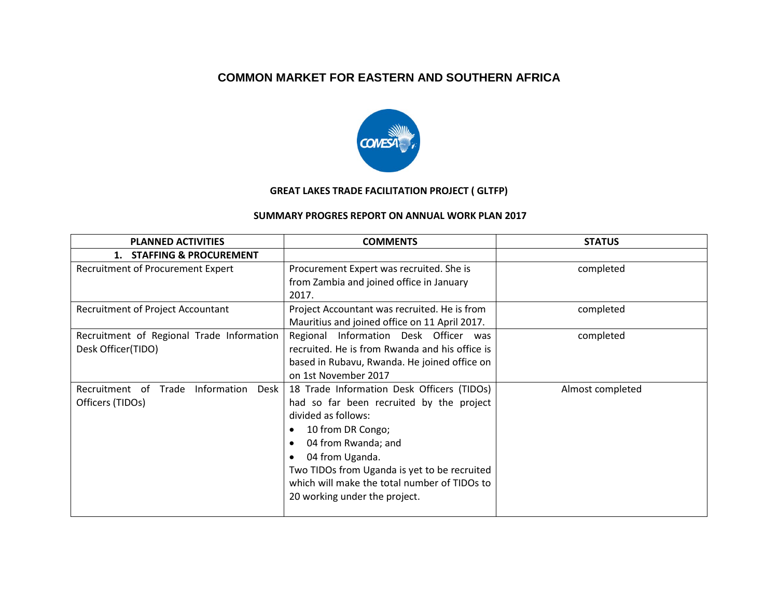## **COMMON MARKET FOR EASTERN AND SOUTHERN AFRICA**



## **GREAT LAKES TRADE FACILITATION PROJECT ( GLTFP)**

## **SUMMARY PROGRES REPORT ON ANNUAL WORK PLAN 2017**

| <b>PLANNED ACTIVITIES</b>                                       | <b>COMMENTS</b>                                                                                                                                                                                                                                                                                               | <b>STATUS</b>    |
|-----------------------------------------------------------------|---------------------------------------------------------------------------------------------------------------------------------------------------------------------------------------------------------------------------------------------------------------------------------------------------------------|------------------|
| 1. STAFFING & PROCUREMENT                                       |                                                                                                                                                                                                                                                                                                               |                  |
| Recruitment of Procurement Expert                               | Procurement Expert was recruited. She is<br>from Zambia and joined office in January<br>2017.                                                                                                                                                                                                                 | completed        |
| <b>Recruitment of Project Accountant</b>                        | Project Accountant was recruited. He is from<br>Mauritius and joined office on 11 April 2017.                                                                                                                                                                                                                 | completed        |
| Recruitment of Regional Trade Information<br>Desk Officer(TIDO) | Regional Information Desk Officer was<br>recruited. He is from Rwanda and his office is<br>based in Rubavu, Rwanda. He joined office on<br>on 1st November 2017                                                                                                                                               | completed        |
| Trade<br>Information Desk<br>Recruitment of<br>Officers (TIDOs) | 18 Trade Information Desk Officers (TIDOs)<br>had so far been recruited by the project<br>divided as follows:<br>10 from DR Congo;<br>04 from Rwanda; and<br>04 from Uganda.<br>Two TIDOs from Uganda is yet to be recruited<br>which will make the total number of TIDOs to<br>20 working under the project. | Almost completed |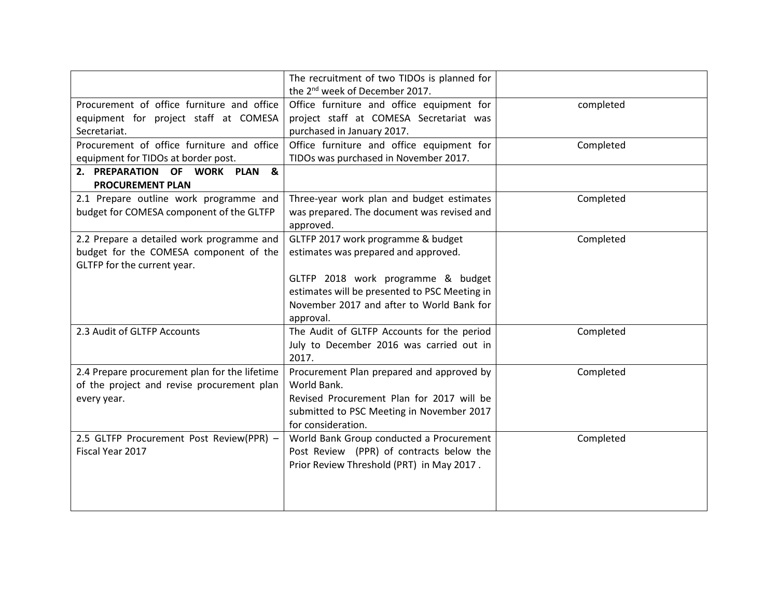|                                                          | The recruitment of two TIDOs is planned for   |           |
|----------------------------------------------------------|-----------------------------------------------|-----------|
|                                                          | the 2 <sup>nd</sup> week of December 2017.    |           |
| Procurement of office furniture and office               | Office furniture and office equipment for     | completed |
| equipment for project staff at COMESA                    | project staff at COMESA Secretariat was       |           |
| Secretariat.                                             | purchased in January 2017.                    |           |
| Procurement of office furniture and office               | Office furniture and office equipment for     | Completed |
| equipment for TIDOs at border post.                      | TIDOs was purchased in November 2017.         |           |
| 2. PREPARATION OF WORK PLAN &<br><b>PROCUREMENT PLAN</b> |                                               |           |
| 2.1 Prepare outline work programme and                   | Three-year work plan and budget estimates     | Completed |
| budget for COMESA component of the GLTFP                 | was prepared. The document was revised and    |           |
|                                                          | approved.                                     |           |
| 2.2 Prepare a detailed work programme and                | GLTFP 2017 work programme & budget            | Completed |
| budget for the COMESA component of the                   | estimates was prepared and approved.          |           |
| GLTFP for the current year.                              |                                               |           |
|                                                          | GLTFP 2018 work programme & budget            |           |
|                                                          | estimates will be presented to PSC Meeting in |           |
|                                                          | November 2017 and after to World Bank for     |           |
|                                                          | approval.                                     |           |
| 2.3 Audit of GLTFP Accounts                              | The Audit of GLTFP Accounts for the period    | Completed |
|                                                          | July to December 2016 was carried out in      |           |
|                                                          | 2017.                                         |           |
| 2.4 Prepare procurement plan for the lifetime            | Procurement Plan prepared and approved by     | Completed |
| of the project and revise procurement plan               | World Bank.                                   |           |
| every year.                                              | Revised Procurement Plan for 2017 will be     |           |
|                                                          | submitted to PSC Meeting in November 2017     |           |
|                                                          | for consideration.                            |           |
| 2.5 GLTFP Procurement Post Review(PPR) -                 | World Bank Group conducted a Procurement      | Completed |
| Fiscal Year 2017                                         | Post Review (PPR) of contracts below the      |           |
|                                                          | Prior Review Threshold (PRT) in May 2017.     |           |
|                                                          |                                               |           |
|                                                          |                                               |           |
|                                                          |                                               |           |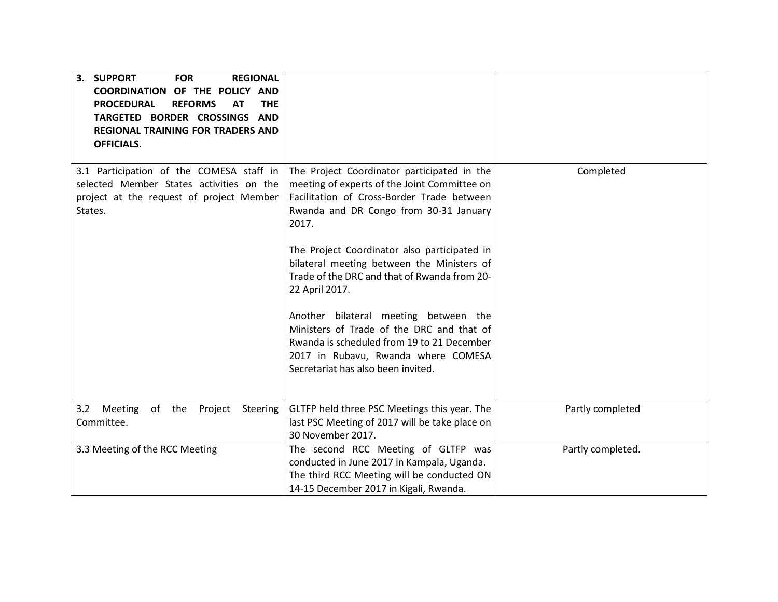| 3.<br><b>SUPPORT</b><br><b>FOR</b><br><b>REGIONAL</b><br>COORDINATION OF THE POLICY AND<br><b>PROCEDURAL</b><br><b>REFORMS</b><br><b>AT</b><br><b>THE</b><br>TARGETED BORDER CROSSINGS AND<br><b>REGIONAL TRAINING FOR TRADERS AND</b><br><b>OFFICIALS.</b> |                                                                                                                                                                                                               |                   |
|-------------------------------------------------------------------------------------------------------------------------------------------------------------------------------------------------------------------------------------------------------------|---------------------------------------------------------------------------------------------------------------------------------------------------------------------------------------------------------------|-------------------|
| 3.1 Participation of the COMESA staff in<br>selected Member States activities on the<br>project at the request of project Member<br>States.                                                                                                                 | The Project Coordinator participated in the<br>meeting of experts of the Joint Committee on<br>Facilitation of Cross-Border Trade between<br>Rwanda and DR Congo from 30-31 January<br>2017.                  | Completed         |
|                                                                                                                                                                                                                                                             | The Project Coordinator also participated in<br>bilateral meeting between the Ministers of<br>Trade of the DRC and that of Rwanda from 20-<br>22 April 2017.                                                  |                   |
|                                                                                                                                                                                                                                                             | Another bilateral meeting between the<br>Ministers of Trade of the DRC and that of<br>Rwanda is scheduled from 19 to 21 December<br>2017 in Rubavu, Rwanda where COMESA<br>Secretariat has also been invited. |                   |
| 3.2 Meeting<br>of the Project<br>Steering<br>Committee.                                                                                                                                                                                                     | GLTFP held three PSC Meetings this year. The<br>last PSC Meeting of 2017 will be take place on<br>30 November 2017.                                                                                           | Partly completed  |
| 3.3 Meeting of the RCC Meeting                                                                                                                                                                                                                              | The second RCC Meeting of GLTFP was<br>conducted in June 2017 in Kampala, Uganda.<br>The third RCC Meeting will be conducted ON<br>14-15 December 2017 in Kigali, Rwanda.                                     | Partly completed. |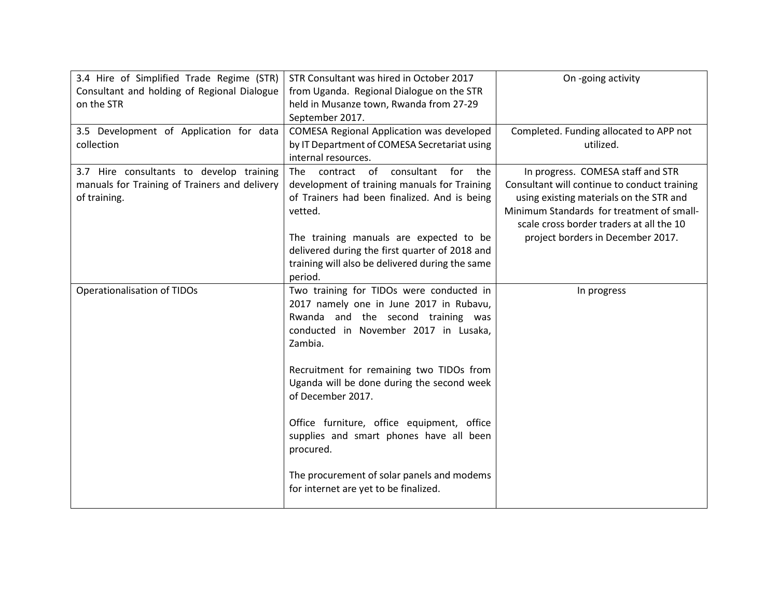| 3.4 Hire of Simplified Trade Regime (STR)<br>Consultant and holding of Regional Dialogue<br>on the STR    | STR Consultant was hired in October 2017<br>from Uganda. Regional Dialogue on the STR<br>held in Musanze town, Rwanda from 27-29<br>September 2017.                                                                                                                                                                                                                                                                                                                                       | On -going activity                                                                                                                                                                                                                                         |
|-----------------------------------------------------------------------------------------------------------|-------------------------------------------------------------------------------------------------------------------------------------------------------------------------------------------------------------------------------------------------------------------------------------------------------------------------------------------------------------------------------------------------------------------------------------------------------------------------------------------|------------------------------------------------------------------------------------------------------------------------------------------------------------------------------------------------------------------------------------------------------------|
| 3.5 Development of Application for data<br>collection                                                     | COMESA Regional Application was developed<br>by IT Department of COMESA Secretariat using<br>internal resources.                                                                                                                                                                                                                                                                                                                                                                          | Completed. Funding allocated to APP not<br>utilized.                                                                                                                                                                                                       |
| 3.7 Hire consultants to develop training<br>manuals for Training of Trainers and delivery<br>of training. | contract of<br>consultant<br>for<br>the<br>The .<br>development of training manuals for Training<br>of Trainers had been finalized. And is being<br>vetted.<br>The training manuals are expected to be<br>delivered during the first quarter of 2018 and<br>training will also be delivered during the same<br>period.                                                                                                                                                                    | In progress. COMESA staff and STR<br>Consultant will continue to conduct training<br>using existing materials on the STR and<br>Minimum Standards for treatment of small-<br>scale cross border traders at all the 10<br>project borders in December 2017. |
| Operationalisation of TIDOs                                                                               | Two training for TIDOs were conducted in<br>2017 namely one in June 2017 in Rubavu,<br>Rwanda and the second training was<br>conducted in November 2017 in Lusaka,<br>Zambia.<br>Recruitment for remaining two TIDOs from<br>Uganda will be done during the second week<br>of December 2017.<br>Office furniture, office equipment, office<br>supplies and smart phones have all been<br>procured.<br>The procurement of solar panels and modems<br>for internet are yet to be finalized. | In progress                                                                                                                                                                                                                                                |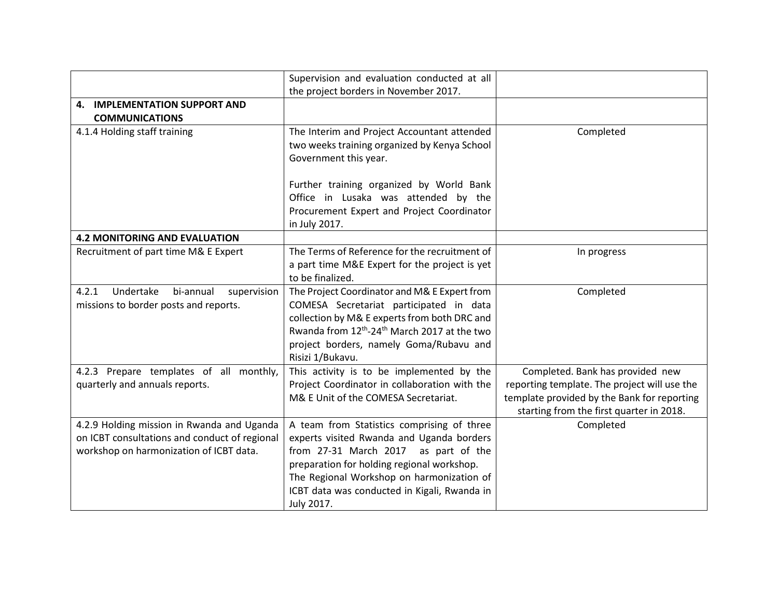|                                                | Supervision and evaluation conducted at all                                      |                                              |
|------------------------------------------------|----------------------------------------------------------------------------------|----------------------------------------------|
|                                                | the project borders in November 2017.                                            |                                              |
| 4. IMPLEMENTATION SUPPORT AND                  |                                                                                  |                                              |
| <b>COMMUNICATIONS</b>                          |                                                                                  |                                              |
| 4.1.4 Holding staff training                   | The Interim and Project Accountant attended                                      | Completed                                    |
|                                                | two weeks training organized by Kenya School                                     |                                              |
|                                                | Government this year.                                                            |                                              |
|                                                |                                                                                  |                                              |
|                                                | Further training organized by World Bank<br>Office in Lusaka was attended by the |                                              |
|                                                |                                                                                  |                                              |
|                                                | Procurement Expert and Project Coordinator                                       |                                              |
|                                                | in July 2017.                                                                    |                                              |
| <b>4.2 MONITORING AND EVALUATION</b>           |                                                                                  |                                              |
| Recruitment of part time M& E Expert           | The Terms of Reference for the recruitment of                                    | In progress                                  |
|                                                | a part time M&E Expert for the project is yet                                    |                                              |
|                                                | to be finalized.                                                                 |                                              |
| Undertake<br>4.2.1<br>bi-annual<br>supervision | The Project Coordinator and M& E Expert from                                     | Completed                                    |
| missions to border posts and reports.          | COMESA Secretariat participated in data                                          |                                              |
|                                                | collection by M& E experts from both DRC and                                     |                                              |
|                                                | Rwanda from 12 <sup>th</sup> -24 <sup>th</sup> March 2017 at the two             |                                              |
|                                                | project borders, namely Goma/Rubavu and                                          |                                              |
|                                                | Risizi 1/Bukavu.                                                                 |                                              |
| 4.2.3 Prepare templates of all monthly,        | This activity is to be implemented by the                                        | Completed. Bank has provided new             |
| quarterly and annuals reports.                 | Project Coordinator in collaboration with the                                    | reporting template. The project will use the |
|                                                | M& E Unit of the COMESA Secretariat.                                             | template provided by the Bank for reporting  |
|                                                |                                                                                  | starting from the first quarter in 2018.     |
| 4.2.9 Holding mission in Rwanda and Uganda     | A team from Statistics comprising of three                                       | Completed                                    |
| on ICBT consultations and conduct of regional  | experts visited Rwanda and Uganda borders                                        |                                              |
| workshop on harmonization of ICBT data.        | from 27-31 March 2017 as part of the                                             |                                              |
|                                                | preparation for holding regional workshop.                                       |                                              |
|                                                | The Regional Workshop on harmonization of                                        |                                              |
|                                                | ICBT data was conducted in Kigali, Rwanda in                                     |                                              |
|                                                | July 2017.                                                                       |                                              |